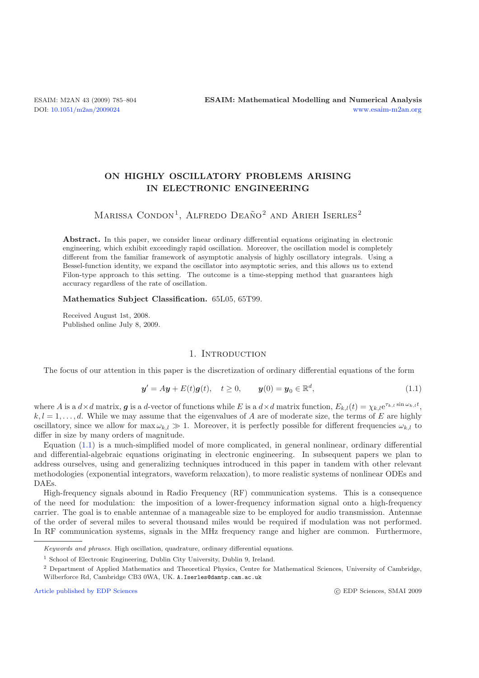# **ON HIGHLY OSCILLATORY PROBLEMS ARISING IN ELECTRONIC ENGINEERING**

# MARISSA CONDON<sup>1</sup>, ALFREDO DEAÑO<sup>2</sup> AND ARIEH ISERLES<sup>2</sup>

<span id="page-0-0"></span>**Abstract.** In this paper, we consider linear ordinary differential equations originating in electronic engineering, which exhibit exceedingly rapid oscillation. Moreover, the oscillation model is completely different from the familiar framework of asymptotic analysis of highly oscillatory integrals. Using a Bessel-function identity, we expand the oscillator into asymptotic series, and this allows us to extend Filon-type approach to this setting. The outcome is a time-stepping method that guarantees high accuracy regardless of the rate of oscillation.

#### **Mathematics Subject Classification.** 65L05, 65T99.

Received August 1st, 2008. Published online July 8, 2009.

# 1. INTRODUCTION

The focus of our attention in this paper is the discretization of ordinary differential equations of the form

$$
y' = Ay + E(t)g(t), \quad t \ge 0, \qquad y(0) = y_0 \in \mathbb{R}^d,
$$
 (1.1)

where A is a  $d \times d$  matrix, **g** is a d-vector of functions while E is a  $d \times d$  matrix function,  $E_{k,l}(t) = \chi_{k,l}e^{\tau_{k,l}\sin \omega_{k,l}t}$ ,<br>  $k, l-1, \ldots, d$  While we may assume that the eigenvalues of A are of moderate size, the ter  $k, l = 1, \ldots, d$ . While we may assume that the eigenvalues of A are of moderate size, the terms of E are highly oscillatory, since we allow for  $\max \omega_{k,l} \gg 1$ . Moreover, it is perfectly possible for different frequencies  $\omega_{k,l}$  to differ in size by many orders of magnitude.

Equation [\(1.1\)](#page-0-0) is a much-simplified model of more complicated, in general nonlinear, ordinary differential and differential-algebraic equations originating in electronic engineering. In subsequent papers we plan to address ourselves, using and generalizing techniques introduced in this paper in tandem with other relevant methodologies (exponential integrators, waveform relaxation), to more realistic systems of nonlinear ODEs and DAEs.

High-frequency signals abound in Radio Frequency (RF) communication systems. This is a consequence of the need for modulation: the imposition of a lower-frequency information signal onto a high-frequency carrier. The goal is to enable antennae of a manageable size to be employed for audio transmission. Antennae of the order of several miles to several thousand miles would be required if modulation was not performed. In RF communication systems, signals in the MHz frequency range and higher are common. Furthermore,

[Article published by EDP Sciences](http://www.edpsciences.org)

*Keywords and phrases.* High oscillation, quadrature, ordinary differential equations.

<sup>&</sup>lt;sup>1</sup> School of Electronic Engineering, Dublin City University, Dublin 9, Ireland.

<sup>&</sup>lt;sup>2</sup> Department of Applied Mathematics and Theoretical Physics, Centre for Mathematical Sciences, University of Cambridge, Wilberforce Rd, Cambridge CB3 0WA, UK. A.Iserles@damtp.cam.ac.uk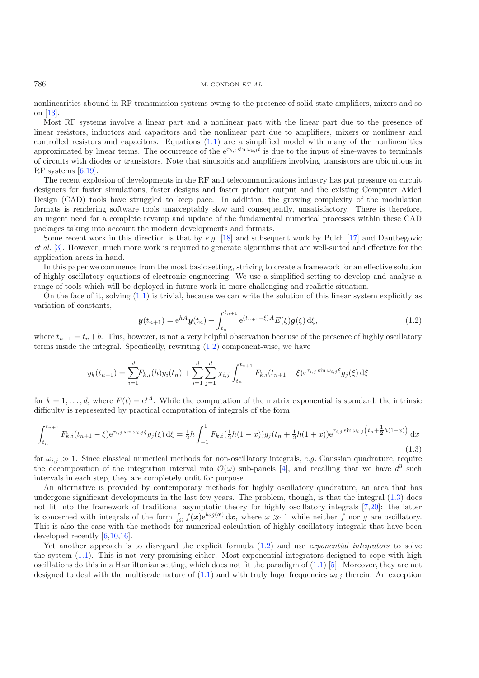nonlinearities abound in RF transmission systems owing to the presence of solid-state amplifiers, mixers and so on [\[13\]](#page-19-0).

Most RF systems involve a linear part and a nonlinear part with the linear part due to the presence of linear resistors, inductors and capacitors and the nonlinear part due to amplifiers, mixers or nonlinear and controlled resistors and capacitors. Equations [\(1.1\)](#page-0-0) are a simplified model with many of the nonlinearities approximated by linear terms. The occurrence of the  $e^{\tau_{k,l} \sin \omega_{k,l} t}$  is due to the input of sine-waves to terminals of circuits with diodes or transistors. Note that sinusoids and amplifiers involving transistors are ubiquitous in RF systems [\[6](#page-19-1)[,19\]](#page-19-2).

<span id="page-1-0"></span>The recent explosion of developments in the RF and telecommunications industry has put pressure on circuit designers for faster simulations, faster designs and faster product output and the existing Computer Aided Design (CAD) tools have struggled to keep pace. In addition, the growing complexity of the modulation formats is rendering software tools unacceptably slow and consequently, unsatisfactory. There is therefore, an urgent need for a complete revamp and update of the fundamental numerical processes within these CAD packages taking into account the modern developments and formats.

Some recent work in this direction is that by e.g.  $[18]$  and subsequent work by Pulch  $[17]$  and Dautbegovic *et al.* [\[3\]](#page-18-0). However, much more work is required to generate algorithms that are well-suited and effective for the application areas in hand.

In this paper we commence from the most basic setting, striving to create a framework for an effective solution of highly oscillatory equations of electronic engineering. We use a simplified setting to develop and analyse a range of tools which will be deployed in future work in more challenging and realistic situation.

<span id="page-1-1"></span>On the face of it, solving  $(1,1)$  is trivial, because we can write the solution of this linear system explicitly as variation of constants,

$$
\mathbf{y}(t_{n+1}) = e^{hA}\mathbf{y}(t_n) + \int_{t_n}^{t_{n+1}} e^{(t_{n+1}-\xi)A} E(\xi) \mathbf{g}(\xi) d\xi,
$$
\n(1.2)

where  $t_{n+1} = t_n + h$ . This, however, is not a very helpful observation because of the presence of highly oscillatory terms inside the integral. Specifically, rewriting [\(1.2\)](#page-1-0) component-wise, we have

$$
y_k(t_{n+1}) = \sum_{i=1}^d F_{k,i}(h)y_i(t_n) + \sum_{i=1}^d \sum_{j=1}^d \chi_{i,j} \int_{t_n}^{t_{n+1}} F_{k,i}(t_{n+1} - \xi) e^{\tau_{i,j} \sin \omega_{i,j} \xi} g_j(\xi) d\xi
$$

for  $k = 1, \ldots, d$ , where  $F(t) = e^{tA}$ . While the computation of the matrix exponential is standard, the intrinsic difficulty is represented by practical computation of integrals of the form

$$
\int_{t_n}^{t_{n+1}} F_{k,i}(t_{n+1} - \xi) e^{\tau_{i,j} \sin \omega_{i,j} \xi} g_j(\xi) d\xi = \frac{1}{2} h \int_{-1}^1 F_{k,i}(\frac{1}{2}h(1-x)) g_j(t_n + \frac{1}{2}h(1+x)) e^{\tau_{i,j} \sin \omega_{i,j} \left(t_n + \frac{1}{2}h(1+x)\right)} dx
$$
\n(1.3)

for  $\omega_{i,j} \gg 1$ . Since classical numerical methods for non-oscillatory integrals, e.g. Gaussian quadrature, require the decomposition of the integration interval into  $\mathcal{O}(\omega)$  sub-panels [\[4\]](#page-18-1), and recalling that we have  $d^3$  such intervals in each step, they are completely unfit for purpose.

An alternative is provided by contemporary methods for highly oscillatory quadrature, an area that has undergone significant developments in the last few years. The problem, though, is that the integral [\(1.3\)](#page-1-1) does not fit into the framework of traditional asymptotic theory for highly oscillatory integrals [\[7](#page-19-5)[,20\]](#page-19-6): the latter is concerned with integrals of the form  $\int_{\Omega} f(x)e^{i\omega g(x)} dx$ , where  $\omega \gg 1$  while neither f nor g are oscillatory. This is also the case with the methods for numerical calculation of highly oscillatory integrals that have been developed recently [\[6](#page-19-1)[,10](#page-19-7)[,16](#page-19-8)].

Yet another approach is to disregard the explicit formula [\(1.2\)](#page-1-0) and use *exponential integrators* to solve the system [\(1.1\)](#page-0-0). This is not very promising either. Most exponential integrators designed to cope with high oscillations do this in a Hamiltonian setting, which does not fit the paradigm of  $(1.1)$  [\[5\]](#page-18-2). Moreover, they are not designed to deal with the multiscale nature of [\(1.1\)](#page-0-0) and with truly huge frequencies  $\omega_{i,j}$  therein. An exception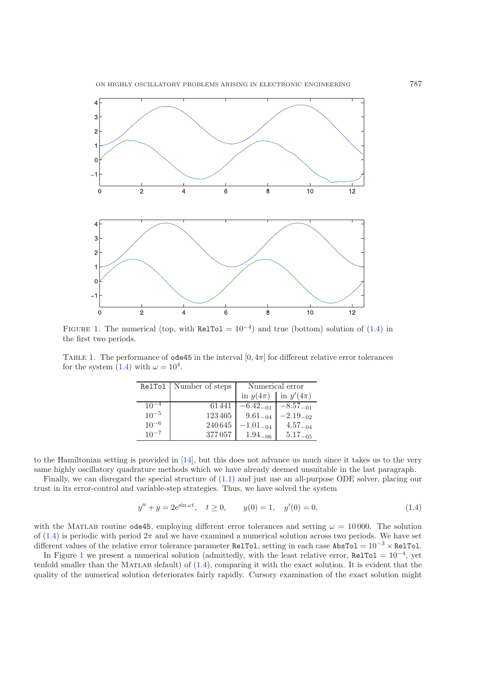

<span id="page-2-2"></span><span id="page-2-1"></span>FIGURE 1. The numerical (top, with RelTol =  $10^{-4}$ ) and true (bottom) solution of [\(1.4\)](#page-2-0) in the first two periods.

<span id="page-2-0"></span>TABLE 1. The performance of  $ode45$  in the interval  $[0, 4\pi]$  for different relative error tolerances for the system [\(1.4\)](#page-2-0) with  $\omega = 10^4$ .

|           | RelTol   Number of steps | Numerical error |               |  |
|-----------|--------------------------|-----------------|---------------|--|
|           |                          | in $y(4\pi)$    | in $y'(4\pi)$ |  |
| $10^{-4}$ | 61441                    | $-6.42_{-01}$   | $-8.57_{-01}$ |  |
| $10^{-5}$ | 123405                   | $9.61_{-04}$    | $-2.19_{-02}$ |  |
| $10^{-6}$ | 240645                   | $-1.01_{-04}$   | $4.57_{-04}$  |  |
| $10^{-7}$ | 377057                   | $1.94_{-06}$    | $5.17_{-05}$  |  |

to the Hamiltonian setting is provided in [\[14\]](#page-19-9), but this does not advance us much since it takes us to the very same highly oscillatory quadrature methods which we have already deemed unsuitable in the last paragraph.

Finally, we can disregard the special structure of [\(1.1\)](#page-0-0) and just use an all-purpose ODE solver, placing our trust in its error-control and variable-step strategies. Thus, we have solved the system

$$
y'' + y = 2e^{\sin \omega t}, \quad t \ge 0, \qquad y(0) = 1, \quad y'(0) = 0,
$$
\n(1.4)

with the MATLAB routine ode45, employing different error tolerances and setting  $\omega = 10000$ . The solution of  $(1.4)$  is periodic with period  $2\pi$  and we have examined a numerical solution across two periods. We have set different values of the relative error tolerance parameter RelTol, setting in each case AbsTol =  $10^{-3} \times$  RelTol.

In Figure [1](#page-2-1) we present a numerical solution (admittedly, with the least relative error, RelTol =  $10^{-4}$ , yet tenfold smaller than the MATLAB default) of  $(1.4)$ , comparing it with the exact solution. It is evident that the quality of the numerical solution deteriorates fairly rapidly. Cursory examination of the exact solution might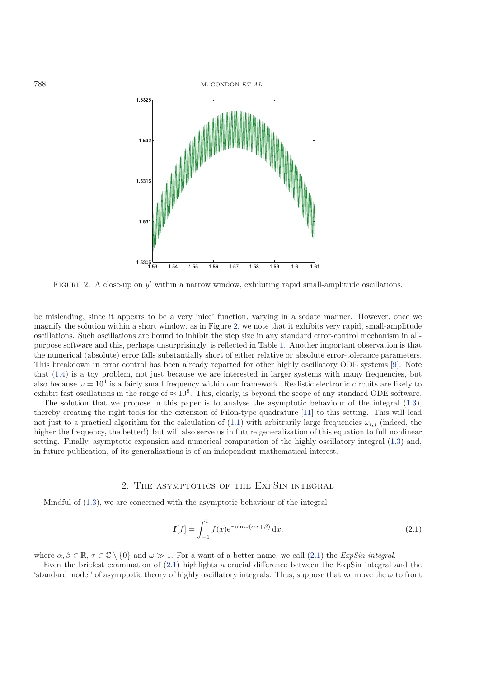

FIGURE 2. A close-up on  $y'$  within a narrow window, exhibiting rapid small-amplitude oscillations.

be misleading, since it appears to be a very 'nice' function, varying in a sedate manner. However, once we magnify the solution within a short window, as in Figure [2,](#page-3-0) we note that it exhibits very rapid, small-amplitude oscillations. Such oscillations are bound to inhibit the step size in any standard error-control mechanism in allpurpose software and this, perhaps unsurprisingly, is reflected in Table [1.](#page-2-2) Another important observation is that the numerical (absolute) error falls substantially short of either relative or absolute error-tolerance parameters. This breakdown in error control has been already reported for other highly oscillatory ODE systems [\[9\]](#page-19-10). Note that  $(1.4)$  is a toy problem, not just because we are interested in larger systems with many frequencies, but also because  $\omega = 10^4$  is a fairly small frequency within our framework. Realistic electronic circuits are likely to exhibit fast oscillations in the range of  $\approx 10^8$ . This, clearly, is beyond the scope of any standard ODE software.

The solution that we propose in this paper is to analyse the asymptotic behaviour of the integral [\(1.3\)](#page-1-1), thereby creating the right tools for the extension of Filon-type quadrature [\[11\]](#page-19-11) to this setting. This will lead not just to a practical algorithm for the calculation of [\(1.1\)](#page-0-0) with arbitrarily large frequencies  $\omega_{i,j}$  (indeed, the higher the frequency, the better!) but will also serve us in future generalization of this equation to full nonlinear setting. Finally, asymptotic expansion and numerical computation of the highly oscillatory integral [\(1.3\)](#page-1-1) and, in future publication, of its generalisations is of an independent mathematical interest.

## <span id="page-3-1"></span>2. The asymptotics of the ExpSin integral

Mindful of [\(1.3\)](#page-1-1), we are concerned with the asymptotic behaviour of the integral

$$
\mathbf{I}[f] = \int_{-1}^{1} f(x) e^{\tau \sin \omega(\alpha x + \beta)} dx,
$$
\n(2.1)

where  $\alpha, \beta \in \mathbb{R}, \tau \in \mathbb{C} \setminus \{0\}$  and  $\omega \gg 1$ . For a want of a better name, we call [\(2.1\)](#page-3-1) the *ExpSin integral*.

Even the briefest examination of [\(2.1\)](#page-3-1) highlights a crucial difference between the ExpSin integral and the 'standard model' of asymptotic theory of highly oscillatory integrals. Thus, suppose that we move the  $\omega$  to front

<span id="page-3-0"></span>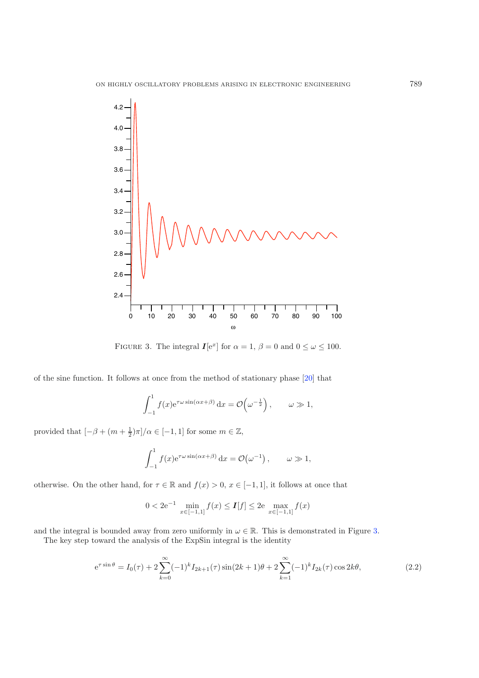

<span id="page-4-0"></span>FIGURE 3. The integral  $I[e^x]$  for  $\alpha = 1$ ,  $\beta = 0$  and  $0 \le \omega \le 100$ .

of the sine function. It follows at once from the method of stationary phase [\[20](#page-19-6)] that

$$
\int_{-1}^{1} f(x)e^{\tau \omega \sin(\alpha x + \beta)} dx = \mathcal{O}\left(\omega^{-\frac{1}{2}}\right), \qquad \omega \gg 1,
$$

provided that  $\left[-\beta + (m + \frac{1}{2})\pi\right]$ / $\alpha \in \left[-1, 1\right]$  for some  $m \in \mathbb{Z}$ ,

$$
\int_{-1}^{1} f(x) e^{\tau \omega \sin(\alpha x + \beta)} dx = \mathcal{O}(\omega^{-1}), \qquad \omega \gg 1,
$$

otherwise. On the other hand, for  $\tau \in \mathbb{R}$  and  $f(x) > 0$ ,  $x \in [-1, 1]$ , it follows at once that

$$
0 < 2e^{-1} \min_{x \in [-1,1]} f(x) \le I[f] \le 2e \max_{x \in [-1,1]} f(x)
$$

and the integral is bounded away from zero uniformly in  $\omega \in \mathbb{R}$ . This is demonstrated in Figure [3.](#page-4-0)

The key step toward the analysis of the ExpSin integral is the identity

$$
e^{\tau \sin \theta} = I_0(\tau) + 2 \sum_{k=0}^{\infty} (-1)^k I_{2k+1}(\tau) \sin(2k+1)\theta + 2 \sum_{k=1}^{\infty} (-1)^k I_{2k}(\tau) \cos 2k\theta,
$$
\n(2.2)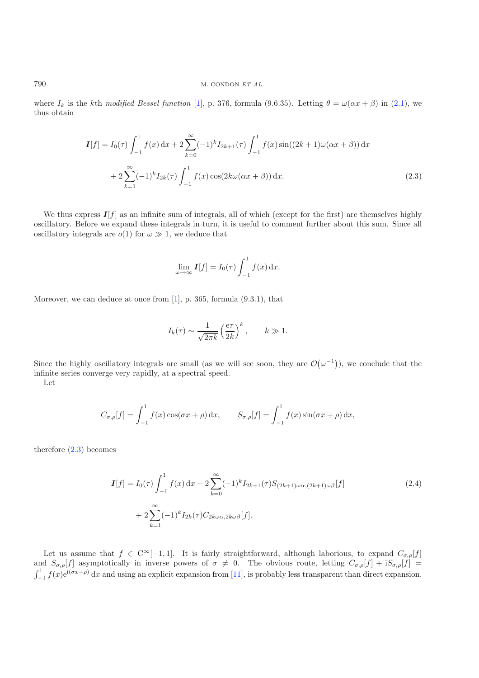<span id="page-5-0"></span>where  $I_k$  is the kth *modified Bessel function* [\[1\]](#page-18-3), p. 376, formula (9.6.35). Letting  $\theta = \omega(\alpha x + \beta)$  in [\(2.1\)](#page-3-1), we thus obtain

$$
I[f] = I_0(\tau) \int_{-1}^1 f(x) dx + 2 \sum_{k=0}^{\infty} (-1)^k I_{2k+1}(\tau) \int_{-1}^1 f(x) \sin((2k+1)\omega(\alpha x + \beta)) dx
$$
  
+ 
$$
2 \sum_{k=1}^{\infty} (-1)^k I_{2k}(\tau) \int_{-1}^1 f(x) \cos(2k\omega(\alpha x + \beta)) dx.
$$
 (2.3)

We thus express  $I[f]$  as an infinite sum of integrals, all of which (except for the first) are themselves highly oscillatory. Before we expand these integrals in turn, it is useful to comment further about this sum. Since all oscillatory integrals are  $o(1)$  for  $\omega \gg 1$ , we deduce that

$$
\lim_{\omega \to \infty} \mathbf{I}[f] = I_0(\tau) \int_{-1}^1 f(x) \, \mathrm{d}x.
$$

Moreover, we can deduce at once from [\[1\]](#page-18-3), p. 365, formula (9.3.1), that

$$
I_k(\tau) \sim \frac{1}{\sqrt{2\pi k}} \left(\frac{e\tau}{2k}\right)^k
$$
,  $k \gg 1$ .

Since the highly oscillatory integrals are small (as we will see soon, they are  $\mathcal{O}(\omega^{-1})$ ), we conclude that the infinite series converge very rapidly, at a spectral speed.

Let

$$
C_{\sigma,\rho}[f] = \int_{-1}^{1} f(x) \cos(\sigma x + \rho) dx, \qquad S_{\sigma,\rho}[f] = \int_{-1}^{1} f(x) \sin(\sigma x + \rho) dx,
$$

<span id="page-5-1"></span>therefore [\(2.3\)](#page-5-0) becomes

$$
I[f] = I_0(\tau) \int_{-1}^1 f(x) dx + 2 \sum_{k=0}^{\infty} (-1)^k I_{2k+1}(\tau) S_{(2k+1)\omega\alpha,(2k+1)\omega\beta}[f]
$$
  
+ 
$$
2 \sum_{k=1}^{\infty} (-1)^k I_{2k}(\tau) C_{2k\omega\alpha,2k\omega\beta}[f].
$$
 (2.4)

Let us assume that  $f \in C^{\infty}[-1,1]$ . It is fairly straightforward, although laborious, to expand  $C_{\sigma,\rho}[f]$ and  $S_{\sigma,\rho}[f]$  asymptotically in inverse powers of  $\sigma \neq 0$ . The obvious route, letting  $C_{\sigma,\rho}[f] + iS_{\sigma,\rho}[f] =$  $\int_{-1}^{1} f(x)e^{i(\sigma x + \rho)} dx$  and using an explicit expansion from [\[11\]](#page-19-11), is probably less transparent than direct expansion.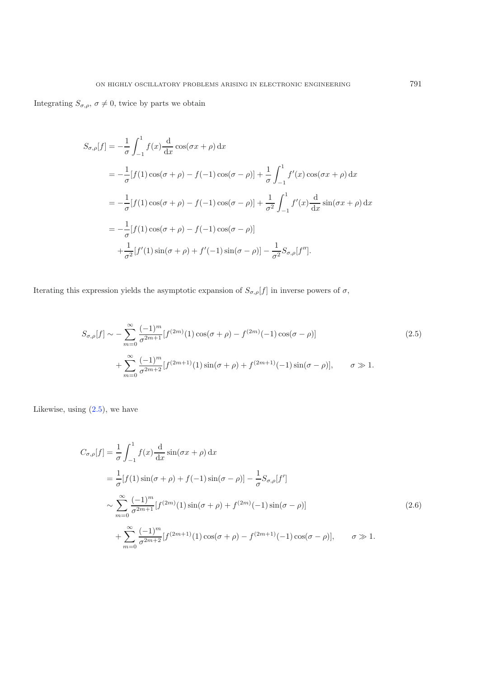Integrating  $S_{\sigma,\rho}$ ,  $\sigma \neq 0$ , twice by parts we obtain

$$
S_{\sigma,\rho}[f] = -\frac{1}{\sigma} \int_{-1}^{1} f(x) \frac{d}{dx} \cos(\sigma x + \rho) dx
$$
  
=  $-\frac{1}{\sigma} [f(1) \cos(\sigma + \rho) - f(-1) \cos(\sigma - \rho)] + \frac{1}{\sigma} \int_{-1}^{1} f'(x) \cos(\sigma x + \rho) dx$   
=  $-\frac{1}{\sigma} [f(1) \cos(\sigma + \rho) - f(-1) \cos(\sigma - \rho)] + \frac{1}{\sigma^2} \int_{-1}^{1} f'(x) \frac{d}{dx} \sin(\sigma x + \rho) dx$   
=  $-\frac{1}{\sigma} [f(1) \cos(\sigma + \rho) - f(-1) \cos(\sigma - \rho)]$   
 $+\frac{1}{\sigma^2} [f'(1) \sin(\sigma + \rho) + f'(-1) \sin(\sigma - \rho)] - \frac{1}{\sigma^2} S_{\sigma,\rho}[f''].$ 

<span id="page-6-0"></span>Iterating this expression yields the asymptotic expansion of  $S_{\sigma,\rho}[f]$  in inverse powers of  $\sigma,$ 

$$
S_{\sigma,\rho}[f] \sim -\sum_{m=0}^{\infty} \frac{(-1)^m}{\sigma^{2m+1}} [f^{(2m)}(1)\cos(\sigma+\rho) - f^{(2m)}(-1)\cos(\sigma-\rho)] + \sum_{m=0}^{\infty} \frac{(-1)^m}{\sigma^{2m+2}} [f^{(2m+1)}(1)\sin(\sigma+\rho) + f^{(2m+1)}(-1)\sin(\sigma-\rho)], \qquad \sigma \gg 1.
$$
\n(2.5)

<span id="page-6-1"></span>Likewise, using  $(2.5)$ , we have

$$
C_{\sigma,\rho}[f] = \frac{1}{\sigma} \int_{-1}^{1} f(x) \frac{d}{dx} \sin(\sigma x + \rho) dx
$$
  
\n
$$
= \frac{1}{\sigma} [f(1) \sin(\sigma + \rho) + f(-1) \sin(\sigma - \rho)] - \frac{1}{\sigma} S_{\sigma,\rho}[f']
$$
  
\n
$$
\sim \sum_{m=0}^{\infty} \frac{(-1)^m}{\sigma^{2m+1}} [f^{(2m)}(1) \sin(\sigma + \rho) + f^{(2m)}(-1) \sin(\sigma - \rho)]
$$
  
\n
$$
+ \sum_{m=0}^{\infty} \frac{(-1)^m}{\sigma^{2m+2}} [f^{(2m+1)}(1) \cos(\sigma + \rho) - f^{(2m+1)}(-1) \cos(\sigma - \rho)], \qquad \sigma \gg 1.
$$
\n(2.6)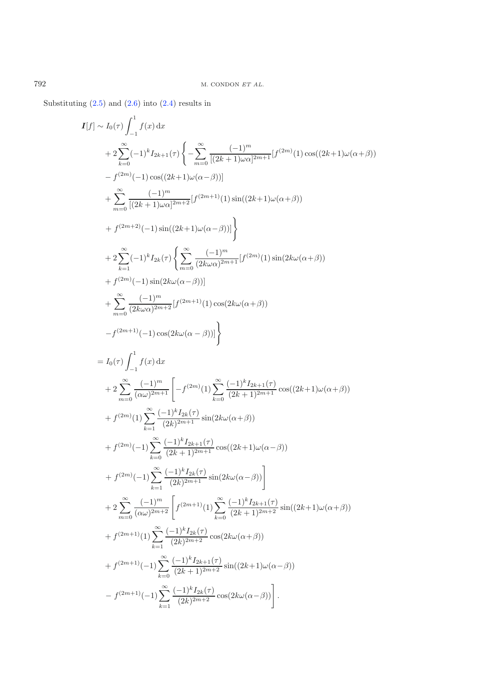Substituting  $(2.5)$  and  $(2.6)$  into  $(2.4)$  results in

$$
I[f] \sim I_0(\tau) \int_{-1}^{1} f(x) dx
$$
  
+  $2 \sum_{k=0}^{\infty} (-1)^k I_{2k+1}(\tau) \left\{ -\sum_{m=0}^{\infty} \frac{(-1)^m}{[(2k+1)\omega\alpha]^{2m+1}} [f^{(2m)}(1) \cos((2k+1)\omega(\alpha+\beta)) \right\}$   
+  $\sum_{m=0}^{\infty} \frac{(-1)^m}{[(2k+1)\omega\alpha]^{2m+2}} [f^{(2m+1)}(1) \sin((2k+1)\omega(\alpha+\beta))$   
+  $f^{(2m+2)}(-1) \sin((2k+1)\omega(\alpha-\beta))] \right\}$   
+  $2 \sum_{k=1}^{\infty} (-1)^k I_{2k}(\tau) \left\{ \sum_{m=0}^{\infty} \frac{(-1)^m}{(2k\omega\alpha)^{2m+1}} [f^{(2m)}(1) \sin(2k\omega(\alpha+\beta)) \right\}$   
+  $t^{(2m)}(-1) \sin(2k\omega(\alpha-\beta))] \right\}$   
+  $\sum_{m=0}^{\infty} \frac{(-1)^m}{(2k\omega\alpha)^{2m+2}} [f^{(2m+1)}(1) \cos(2k\omega(\alpha+\beta))$   
-  $f^{(2m+1)}(-1) \cos(2k\omega(\alpha-\beta))] \right\}$   
=  $I_0(\tau) \int_{-1}^{1} f(x) dx$   
+  $2 \sum_{m=0}^{\infty} \frac{(-1)^m}{(\alpha\omega)^{2m+1}} \left[ -f^{(2m)}(1) \sum_{k=0}^{\infty} \frac{(-1)^k I_{2k+1}(\tau)}{(2k+1)^{2m+1}} \cos((2k+1)\omega(\alpha+\beta)) \right.$   
+  $f^{(2m)}(1) \sum_{k=1}^{\infty} \frac{(-1)^k I_{2k}(\tau)}{(2k)^{2m+1}} \sin(2k\omega(\alpha+\beta))$   
+  $f^{(2m)}(-1) \sum_{k=0}^{\infty} \frac{(-1)^k I_{2k+1}(\tau)}{(2k)^{2m+1}} \cos((2k+1)\omega(\alpha-\beta))$   
+  $f^{(2m)}(-1) \sum_{k=0}^{\infty} \frac{(-1$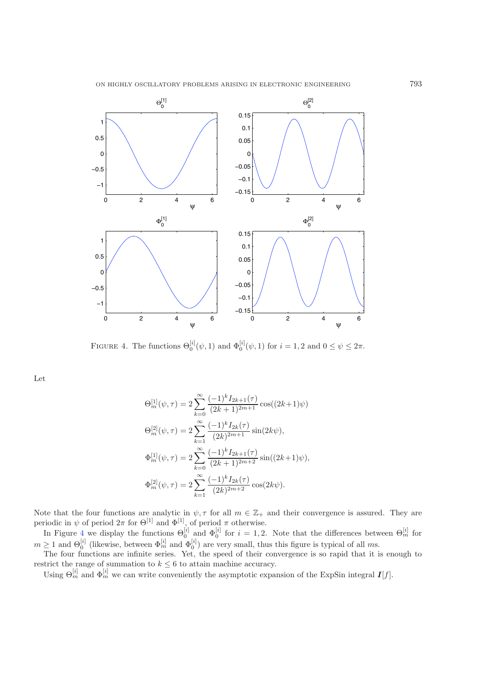

<span id="page-8-0"></span>FIGURE 4. The functions  $\Theta_0^{[i]}(\psi, 1)$  and  $\Phi_0^{[i]}(\psi, 1)$  for  $i = 1, 2$  and  $0 \le \psi \le 2\pi$ .

Let

$$
\Theta_m^{[1]}(\psi, \tau) = 2 \sum_{k=0}^{\infty} \frac{(-1)^k I_{2k+1}(\tau)}{(2k+1)^{2m+1}} \cos((2k+1)\psi)
$$
  
\n
$$
\Theta_m^{[2]}(\psi, \tau) = 2 \sum_{k=1}^{\infty} \frac{(-1)^k I_{2k}(\tau)}{(2k)^{2m+1}} \sin(2k\psi),
$$
  
\n
$$
\Phi_m^{[1]}(\psi, \tau) = 2 \sum_{k=0}^{\infty} \frac{(-1)^k I_{2k+1}(\tau)}{(2k+1)^{2m+2}} \sin((2k+1)\psi),
$$
  
\n
$$
\Phi_m^{[2]}(\psi, \tau) = 2 \sum_{k=1}^{\infty} \frac{(-1)^k I_{2k}(\tau)}{(2k)^{2m+2}} \cos(2k\psi).
$$

Note that the four functions are analytic in  $\psi, \tau$  for all  $m \in \mathbb{Z}_+$  and their convergence is assured. They are periodic in  $\psi$  of period  $2\pi$  for  $\Theta^{[1]}$  and  $\Phi^{[1]}$ , of period  $\pi$  otherwise.

In Figure [4](#page-8-0) we display the functions  $\Theta_0^{[i]}$  and  $\Phi_0^{[i]}$  for  $i=1,2$ . Note that the differences between  $\Theta_m^{[i]}$  for  $m \geq 1$  and  $\Theta_0^{[i]}$  (likewise, between  $\Phi_m^{[i]}$  and  $\Phi_0^{[i]}$ ) are very small, thus this figure is typical of all ms.

The four functions are infinite series. Yet, the speed of their convergence is so rapid that it is enough to restrict the range of summation to  $k \leq 6$  to attain machine accuracy.

Using  $\Theta_m^{[i]}$  and  $\Phi_m^{[i]}$  we can write conveniently the asymptotic expansion of the ExpSin integral  $I[f]$ .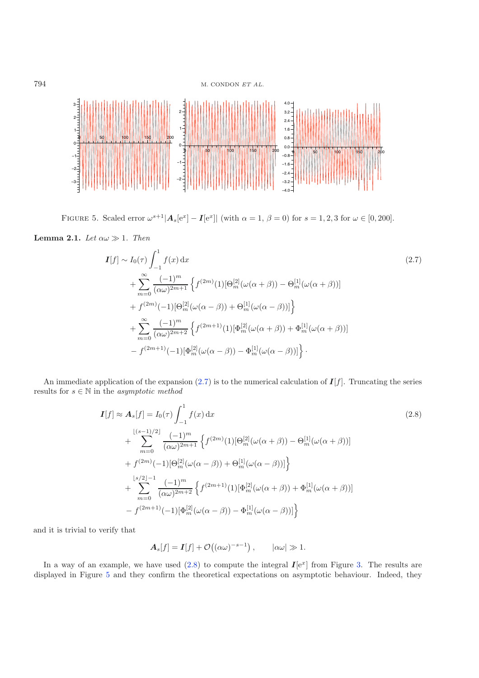794 M. CONDON *ET AL.*

<span id="page-9-2"></span>

FIGURE 5. Scaled error  $\omega^{s+1} |A_s[e^x] - I[e^x]|$  (with  $\alpha = 1, \beta = 0$ ) for  $s = 1, 2, 3$  for  $\omega \in [0, 200]$ .

<span id="page-9-0"></span>**Lemma 2.1.** *Let*  $\alpha \omega \gg 1$ *. Then* 

$$
I[f] \sim I_0(\tau) \int_{-1}^1 f(x) dx
$$
\n
$$
+ \sum_{m=0}^{\infty} \frac{(-1)^m}{(\alpha \omega)^{2m+1}} \left\{ f^{(2m)}(1) [\Theta_m^{[2]}(\omega(\alpha+\beta)) - \Theta_m^{[1]}(\omega(\alpha+\beta))] \right\}
$$
\n
$$
+ f^{(2m)}(-1) [\Theta_m^{[2]}(\omega(\alpha-\beta)) + \Theta_m^{[1]}(\omega(\alpha-\beta))] \right\}
$$
\n
$$
+ \sum_{m=0}^{\infty} \frac{(-1)^m}{(\alpha \omega)^{2m+2}} \left\{ f^{(2m+1)}(1) [\Phi_m^{[2]}(\omega(\alpha+\beta)) + \Phi_m^{[1]}(\omega(\alpha+\beta))] \right\}
$$
\n
$$
- f^{(2m+1)}(-1) [\Phi_m^{[2]}(\omega(\alpha-\beta)) - \Phi_m^{[1]}(\omega(\alpha-\beta))] \right\}.
$$
\n(2.7)

<span id="page-9-1"></span>An immediate application of the expansion  $(2.7)$  is to the numerical calculation of  $I[f]$ . Truncating the series results for  $s \in \mathbb{N}$  in the  $\emph{asymptotic method}$ 

$$
I[f] \approx A_s[f] = I_0(\tau) \int_{-1}^1 f(x) dx
$$
\n
$$
+ \sum_{m=0}^{\lfloor (s-1)/2 \rfloor} \frac{(-1)^m}{(\alpha \omega)^{2m+1}} \left\{ f^{(2m)}(1) [\Theta_m^{[2]}(\omega(\alpha+\beta)) - \Theta_m^{[1]}(\omega(\alpha+\beta))] \right\}
$$
\n
$$
+ f^{(2m)}(-1) [\Theta_m^{[2]}(\omega(\alpha-\beta)) + \Theta_m^{[1]}(\omega(\alpha-\beta))] \right\}
$$
\n
$$
+ \sum_{m=0}^{\lfloor s/2 \rfloor - 1} \frac{(-1)^m}{(\alpha \omega)^{2m+2}} \left\{ f^{(2m+1)}(1) [\Phi_m^{[2]}(\omega(\alpha+\beta)) + \Phi_m^{[1]}(\omega(\alpha+\beta))] \right\}
$$
\n
$$
- f^{(2m+1)}(-1) [\Phi_m^{[2]}(\omega(\alpha-\beta)) - \Phi_m^{[1]}(\omega(\alpha-\beta))] \right\}
$$
\n(2.8)

and it is trivial to verify that

$$
\mathbf{A}_s[f] = \mathbf{I}[f] + \mathcal{O}((\alpha\omega)^{-s-1}), \qquad |\alpha\omega| \gg 1.
$$

In a way of an example, we have used  $(2.8)$  to compute the integral  $I[e^x]$  from Figure [3.](#page-4-0) The results are displayed in Figure [5](#page-9-2) and they confirm the theoretical expectations on asymptotic behaviour. Indeed, they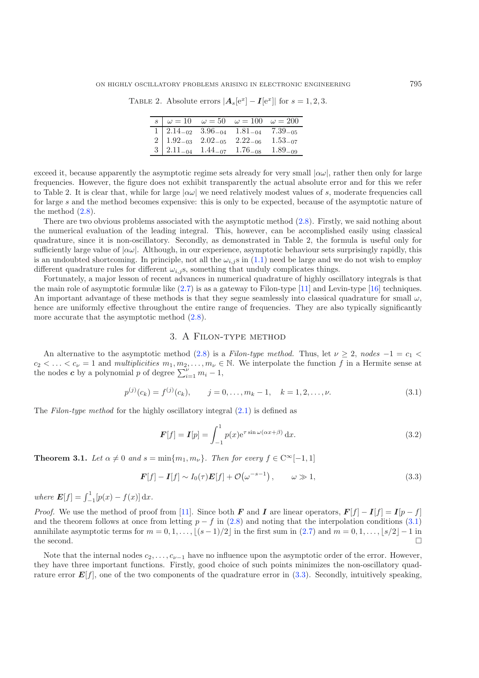TABLE 2. Absolute errors  $|\mathbf{A}_s[e^x] - \mathbf{I}[e^x]|$  for  $s = 1, 2, 3$ .

|  | $\begin{array}{c cc}\n\hline\ns & \omega = 10 & \omega = 50 & \omega = 100 & \omega = 200\n\end{array}$                                                                                                     |  |
|--|-------------------------------------------------------------------------------------------------------------------------------------------------------------------------------------------------------------|--|
|  |                                                                                                                                                                                                             |  |
|  |                                                                                                                                                                                                             |  |
|  | $\begin{array}{cccccc} 1 & 2.14_{-02} & 3.96_{-04} & 1.81_{-04} & 7.39_{-05} \\ 2 & 1.92_{-03} & 2.02_{-05} & 2.22_{-06} & 1.53_{-07} \\ 3 & 2.11_{-04} & 1.44_{-07} & 1.76_{-08} & 1.89_{-09} \end{array}$ |  |

exceed it, because apparently the asymptotic regime sets already for very small  $|\alpha\omega|$ , rather then only for large frequencies. However, the figure does not exhibit transparently the actual absolute error and for this we refer to Table 2. It is clear that, while for large  $|\alpha\omega|$  we need relatively modest values of s, moderate frequencies call for large s and the method becomes expensive: this is only to be expected, because of the asymptotic nature of the method  $(2.8)$ .

There are two obvious problems associated with the asymptotic method [\(2.8\)](#page-9-1). Firstly, we said nothing about the numerical evaluation of the leading integral. This, however, can be accomplished easily using classical quadrature, since it is non-oscillatory. Secondly, as demonstrated in Table 2, the formula is useful only for sufficiently large value of  $|\alpha\omega|$ . Although, in our experience, asymptotic behaviour sets surprisingly rapidly, this is an undoubted shortcoming. In principle, not all the  $\omega_{i,j}$  s in [\(1.1\)](#page-0-0) need be large and we do not wish to employ different quadrature rules for different  $\omega_{i,j}$ s, something that unduly complicates things.

<span id="page-10-0"></span>Fortunately, a major lesson of recent advances in numerical quadrature of highly oscillatory integrals is that the main role of asymptotic formulæ like  $(2.7)$  is as a gateway to Filon-type  $[11]$  $[11]$  and Levin-type  $[16]$  $[16]$  techniques. An important advantage of these methods is that they segue seamlessly into classical quadrature for small  $\omega$ , hence are uniformly effective throughout the entire range of frequencies. They are also typically significantly more accurate that the asymptotic method  $(2.8)$ .

## <span id="page-10-2"></span>3. A Filon-type method

<span id="page-10-1"></span>An alternative to the asymptotic method [\(2.8\)](#page-9-1) is a *Filon-type method.* Thus, let  $\nu \geq 2$ , *nodes*  $-1 = c_1$  <  $c_2 < \ldots < c_{\nu} = 1$  and *multiplicities*  $m_1, m_2, \ldots, m_{\nu} \in \mathbb{N}$ . We interpolate the function f in a Hermite sense at the nodes **c** by a polynomial p of degree  $\sum_{i=1}^{v} m_i - 1$ ,

$$
p^{(j)}(c_k) = f^{(j)}(c_k), \qquad j = 0, \dots, m_k - 1, \quad k = 1, 2, \dots, \nu.
$$
\n(3.1)

The *Filon-type method* for the highly oscillatory integral [\(2.1\)](#page-3-1) is defined as

$$
\boldsymbol{F}[f] = \boldsymbol{I}[p] = \int_{-1}^{1} p(x) e^{\tau \sin \omega(\alpha x + \beta)} dx.
$$
 (3.2)

**Theorem 3.1.** Let  $\alpha \neq 0$  and  $s = \min\{m_1, m_\nu\}$ . Then for every  $f \in C^\infty[-1, 1]$ 

$$
\boldsymbol{F}[f] - \boldsymbol{I}[f] \sim I_0(\tau) \boldsymbol{E}[f] + \mathcal{O}(\omega^{-s-1}), \qquad \omega \gg 1,
$$
\n(3.3)

*where*  $E[f] = \int_{-1}^{1} [p(x) - f(x)] dx$ .

*Proof.* We use the method of proof from [\[11](#page-19-11)]. Since both *F* and *I* are linear operators,  $F[f] - I[f] = I[p - f]$ and the theorem follows at once from letting  $p - f$  in [\(2.8\)](#page-9-1) and noting that the interpolation conditions [\(3.1\)](#page-10-0) annihilate asymptotic terms for  $m = 0, 1, \ldots, \lfloor (s-1)/2 \rfloor$  in the first sum in  $(2.7)$  and  $m = 0, 1, \ldots, \lfloor s/2 \rfloor - 1$  in the second.  $\square$ 

Note that the internal nodes  $c_2, \ldots, c_{\nu-1}$  have no influence upon the asymptotic order of the error. However, they have three important functions. Firstly, good choice of such points minimizes the non-oscillatory quadrature error  $E[f]$ , one of the two components of the quadrature error in  $(3.3)$ . Secondly, intuitively speaking,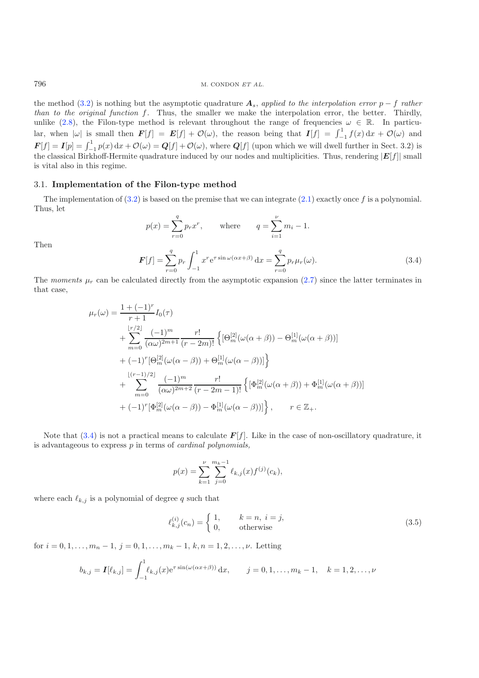<span id="page-11-0"></span>the method [\(3.2\)](#page-10-2) is nothing but the asymptotic quadrature  $A_s$ , applied to the interpolation error  $p-f$  rather<br>than to the original function f. Thus, the smaller we make the interpolation error, the better. Thirdly, unlike [\(2.8\)](#page-9-1), the Filon-type method is relevant throughout the range of frequencies  $\omega \in \mathbb{R}$ . In particular, when  $|\omega|$  is small then  $\mathbf{F}[f] = \mathbf{E}[f] + \mathcal{O}(\omega)$ , the reason being that  $\mathbf{I}[f] = \int_{-1}^{1} f(x) dx + \mathcal{O}(\omega)$  and  $F[f] = I[p] = \int_{-1}^{1} p(x) dx + \mathcal{O}(\omega) = Q[f] + \mathcal{O}(\omega)$ , where  $Q[f]$  (upon which we will dwell further in Sect. 3.2) is<br>the classical Birkhoff Harmita quadrature induced by our nodes and multiplicities. Thus, readering [F[f]] sma the classical Birkhoff-Hermite quadrature induced by our nodes and multiplicities. Thus, rendering  $|E[f]|$  small is vital also in this regime.

# 3.1. **Implementation of the Filon-type method**

The implementation of  $(3.2)$  is based on the premise that we can integrate  $(2.1)$  exactly once f is a polynomial. Thus, let

$$
p(x) = \sum_{r=0}^{q} p_r x^r, \quad \text{where} \quad q = \sum_{i=1}^{\nu} m_i - 1.
$$

$$
F[f] = \sum_{r=0}^{q} p_r \int_{-1}^{1} x^r e^{\tau \sin \omega (\alpha x + \beta)} dx = \sum_{r=0}^{q} p_r \mu_r(\omega).
$$
(3.4)

Then

The *moments*  $\mu_r$  can be calculated directly from the asymptotic expansion [\(2.7\)](#page-9-0) since the latter terminates in that case,

$$
\mu_r(\omega) = \frac{1 + (-1)^r}{r+1} I_0(\tau)
$$
  
+ 
$$
\sum_{m=0}^{\lfloor r/2 \rfloor} \frac{(-1)^m}{(\alpha \omega)^{2m+1}} \frac{r!}{(r-2m)!} \left\{ [\Theta_m^{[2]}(\omega(\alpha+\beta)) - \Theta_m^{[1]}(\omega(\alpha+\beta))] \right\}
$$
  
+ 
$$
(-1)^r [\Theta_m^{[2]}(\omega(\alpha-\beta)) + \Theta_m^{[1]}(\omega(\alpha-\beta))] \right\}
$$
  
+ 
$$
\sum_{m=0}^{\lfloor (r-1)/2 \rfloor} \frac{(-1)^m}{(\alpha \omega)^{2m+2}} \frac{r!}{(r-2m-1)!} \left\{ [\Phi_m^{[2]}(\omega(\alpha+\beta)) + \Phi_m^{[1]}(\omega(\alpha+\beta))] \right\}
$$
  
+ 
$$
(-1)^r [\Phi_m^{[2]}(\omega(\alpha-\beta)) - \Phi_m^{[1]}(\omega(\alpha-\beta))] \right\}, \qquad r \in \mathbb{Z}_+.
$$

<span id="page-11-1"></span>Note that  $(3.4)$  is not a practical means to calculate  $F[f]$ . Like in the case of non-oscillatory quadrature, it is advantageous to express p in terms of *cardinal polynomials,*

$$
p(x) = \sum_{k=1}^{\nu} \sum_{j=0}^{m_k - 1} \ell_{k,j}(x) f^{(j)}(c_k),
$$

where each  $\ell_{k,j}$  is a polynomial of degree q such that

$$
\ell_{k,j}^{(i)}(c_n) = \begin{cases} 1, & k = n, i = j, \\ 0, & \text{otherwise} \end{cases}
$$
 (3.5)

for  $i = 0, 1, \ldots, m_n - 1$ ,  $j = 0, 1, \ldots, m_k - 1$ ,  $k, n = 1, 2, \ldots, \nu$ . Letting

$$
b_{k,j} = \mathbf{I}[\ell_{k,j}] = \int_{-1}^{1} \ell_{k,j}(x) e^{\tau \sin(\omega(\alpha x + \beta))} dx, \qquad j = 0, 1, \dots, m_k - 1, \quad k = 1, 2, \dots, \nu
$$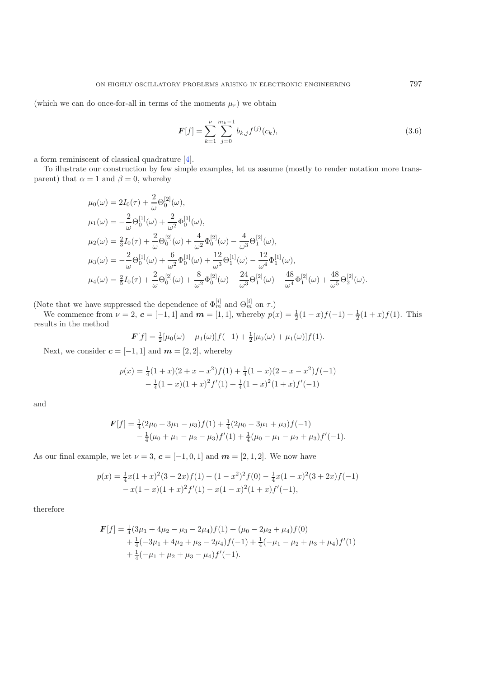(which we can do once-for-all in terms of the moments  $\mu_r$ ) we obtain

$$
F[f] = \sum_{k=1}^{\nu} \sum_{j=0}^{m_k - 1} b_{k,j} f^{(j)}(c_k),
$$
\n(3.6)

a form reminiscent of classical quadrature [\[4\]](#page-18-1).

To illustrate our construction by few simple examples, let us assume (mostly to render notation more transparent) that  $\alpha = 1$  and  $\beta = 0$ , whereby

$$
\mu_0(\omega) = 2I_0(\tau) + \frac{2}{\omega} \Theta_0^{[2]}(\omega),
$$
  
\n
$$
\mu_1(\omega) = -\frac{2}{\omega} \Theta_0^{[1]}(\omega) + \frac{2}{\omega^2} \Phi_0^{[1]}(\omega),
$$
  
\n
$$
\mu_2(\omega) = \frac{2}{3}I_0(\tau) + \frac{2}{\omega} \Theta_0^{[2]}(\omega) + \frac{4}{\omega^2} \Phi_0^{[2]}(\omega) - \frac{4}{\omega^3} \Theta_1^{[2]}(\omega),
$$
  
\n
$$
\mu_3(\omega) = -\frac{2}{\omega} \Theta_0^{[1]}(\omega) + \frac{6}{\omega^2} \Phi_0^{[1]}(\omega) + \frac{12}{\omega^3} \Theta_1^{[1]}(\omega) - \frac{12}{\omega^4} \Phi_1^{[1]}(\omega),
$$
  
\n
$$
\mu_4(\omega) = \frac{2}{5}I_0(\tau) + \frac{2}{\omega} \Theta_0^{[2]}(\omega) + \frac{8}{\omega^2} \Phi_0^{[2]}(\omega) - \frac{24}{\omega^3} \Theta_1^{[2]}(\omega) - \frac{48}{\omega^4} \Phi_1^{[2]}(\omega) + \frac{48}{\omega^5} \Theta_2^{[2]}(\omega).
$$

(Note that we have suppressed the dependence of  $\Phi_m^{[i]}$  and  $\Theta_m^{[i]}$  on  $\tau$ .)

We commence from  $\nu = 2$ ,  $\mathbf{c} = [-1, 1]$  and  $\mathbf{m} = [1, 1]$ , whereby  $p(x) = \frac{1}{2}(1-x)f(-1) + \frac{1}{2}(1+x)f(1)$ . This results in the method

$$
\boldsymbol{F}[f] = \frac{1}{2}[\mu_0(\omega) - \mu_1(\omega)]f(-1) + \frac{1}{2}[\mu_0(\omega) + \mu_1(\omega)]f(1).
$$

Next, we consider  $\boldsymbol{c} = [-1, 1]$  and  $\boldsymbol{m} = [2, 2]$ , whereby

$$
p(x) = \frac{1}{4}(1+x)(2+x-x^2)f(1) + \frac{1}{4}(1-x)(2-x-x^2)f(-1) - \frac{1}{4}(1-x)(1+x)^2f'(1) + \frac{1}{4}(1-x)^2(1+x)f'(-1)
$$

and

$$
\mathbf{F}[f] = \frac{1}{4}(2\mu_0 + 3\mu_1 - \mu_3)f(1) + \frac{1}{4}(2\mu_0 - 3\mu_1 + \mu_3)f(-1) -\frac{1}{4}(\mu_0 + \mu_1 - \mu_2 - \mu_3)f'(1) + \frac{1}{4}(\mu_0 - \mu_1 - \mu_2 + \mu_3)f'(-1).
$$

As our final example, we let  $\nu = 3$ ,  $\boldsymbol{c} = [-1, 0, 1]$  and  $\boldsymbol{m} = [2, 1, 2]$ . We now have

$$
p(x) = \frac{1}{4}x(1+x)^2(3-2x)f(1) + (1-x^2)^2f(0) - \frac{1}{4}x(1-x)^2(3+2x)f(-1) - x(1-x)(1+x)^2f'(1) - x(1-x)^2(1+x)f'(-1),
$$

therefore

$$
\mathbf{F}[f] = \frac{1}{4}(3\mu_1 + 4\mu_2 - \mu_3 - 2\mu_4)f(1) + (\mu_0 - 2\mu_2 + \mu_4)f(0) \n+ \frac{1}{4}(-3\mu_1 + 4\mu_2 + \mu_3 - 2\mu_4)f(-1) + \frac{1}{4}(-\mu_1 - \mu_2 + \mu_3 + \mu_4)f'(1) \n+ \frac{1}{4}(-\mu_1 + \mu_2 + \mu_3 - \mu_4)f'(-1).
$$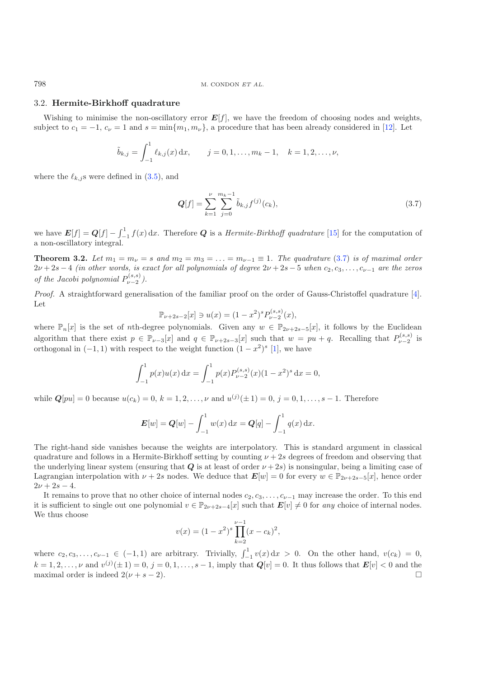#### 3.2. **Hermite-Birkhoff quadrature**

Wishing to minimise the non-oscillatory error  $E[f]$ , we have the freedom of choosing nodes and weights, subject to  $c_1 = -1$ ,  $c_\nu = 1$  and  $s = \min\{m_1, m_\nu\}$ , a procedure that has been already considered in [\[12\]](#page-19-12). Let

<span id="page-13-0"></span>
$$
\tilde{b}_{k,j} = \int_{-1}^{1} \ell_{k,j}(x) dx, \qquad j = 0, 1, \ldots, m_k - 1, \quad k = 1, 2, \ldots, \nu,
$$

where the  $\ell_{k,j}$ s were defined in  $(3.5)$ , and

$$
Q[f] = \sum_{k=1}^{\nu} \sum_{j=0}^{m_k - 1} \tilde{b}_{k,j} f^{(j)}(c_k),
$$
\n(3.7)

we have  $E[f] = Q[f] - \int_{-1}^{1} f(x) dx$ . Therefore *Q* is a *Hermite-Birkhoff quadrature* [\[15\]](#page-19-13) for the computation of a non-oscillatory integral.

**Theorem 3.2.** *Let*  $m_1 = m_\nu = s$  *and*  $m_2 = m_3 = \ldots = m_{\nu-1} \equiv 1$ *. The quadrature* [\(3.7\)](#page-13-0) *is of maximal order*  $2\nu + 2s - 4$  *(in other words, is exact for all polynomials of degree*  $2\nu + 2s - 5$  *when*  $c_2, c_3, \ldots, c_{\nu-1}$  *are the zeros of the Jacobi polynomial*  $P_{\nu-2}^{(s,s)}$ ).

*Proof.* A straightforward generalisation of the familiar proof on the order of Gauss-Christoffel quadrature [\[4\]](#page-18-1). Let

$$
\mathbb{P}_{\nu+2s-2}[x] \ni u(x) = (1-x^2)^s P_{\nu-2}^{(s,s)}(x),
$$

where  $\mathbb{P}_n[x]$  is the set of nth-degree polynomials. Given any  $w \in \mathbb{P}_{2\nu+2s-5}[x]$ , it follows by the Euclidean algorithm that there exist  $p \in \mathbb{P}_{\nu-3}[x]$  and  $q \in \mathbb{P}_{\nu+2s-3}[x]$  such that  $w = pu + q$ . Recalling that  $P_{\nu-2}^{(s,s)}$  is orthogonal in  $(-1, 1)$  with respect to the weight function  $(1 - x^2)^s$  [\[1\]](#page-18-3), we have

$$
\int_{-1}^{1} p(x)u(x) dx = \int_{-1}^{1} p(x)P_{\nu-2}^{(s,s)}(x)(1-x^2)^s dx = 0,
$$

while  $Q[pu] = 0$  because  $u(c_k) = 0, k = 1, 2, ..., \nu$  and  $u^{(j)}(\pm 1) = 0, j = 0, 1, ..., s - 1$ . Therefore

$$
E[w] = Q[w] - \int_{-1}^{1} w(x) dx = Q[q] - \int_{-1}^{1} q(x) dx.
$$

The right-hand side vanishes because the weights are interpolatory. This is standard argument in classical quadrature and follows in a Hermite-Birkhoff setting by counting  $\nu + 2s$  degrees of freedom and observing that the underlying linear system (ensuring that  $Q$  is at least of order  $\nu + 2s$ ) is nonsingular, being a limiting case of Lagrangian interpolation with  $\nu + 2s$  nodes. We deduce that  $E[w] = 0$  for every  $w \in \mathbb{P}_{2\nu+2s-5}[x]$ , hence order  $2\nu + 2s - 4.$ 

It remains to prove that no other choice of internal nodes  $c_2, c_3, \ldots, c_{\nu-1}$  may increase the order. To this end it is sufficient to single out one polynomial  $v \in \mathbb{P}_{2\nu+2s-4}[x]$  such that  $\mathbf{E}[v] \neq 0$  for any choice of internal nodes. We thus choose

$$
v(x) = (1 - x^2)^s \prod_{k=2}^{\nu - 1} (x - c_k)^2,
$$

where  $c_2, c_3, \ldots, c_{\nu-1} \in (-1, 1)$  are arbitrary. Trivially,  $\int_{-1}^{1} v(x) dx > 0$ . On the other hand,  $v(c_k) = 0$ ,  $k = 1, 2, \ldots, \nu$  and  $v^{(j)}(\pm 1) = 0, j = 0, 1, \ldots, s - 1$ , imply that  $Q[v] = 0$ . It thus follows that  $E[v] < 0$  and the maximal order is indeed  $2(\nu + s - 2)$ maximal order is indeed  $2(\nu + s - 2)$ .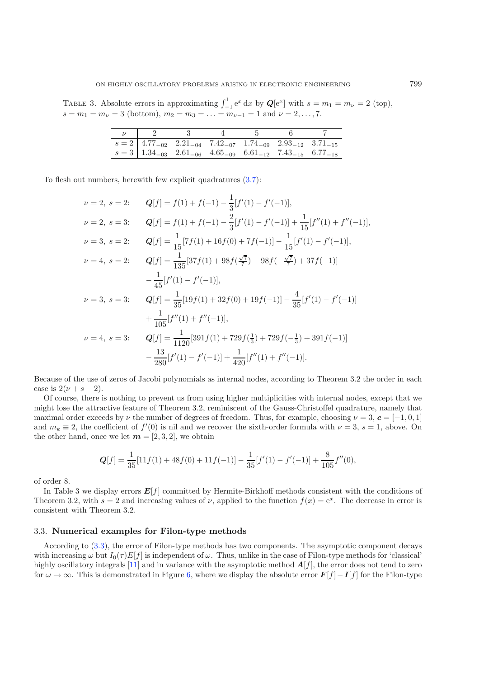TABLE 3. Absolute errors in approximating  $\int_{-1}^{1} e^x dx$  by  $\mathbf{Q}[e^x]$  with  $s = m_1 = m_\nu = 2$  (top),  $s = m_1 = m_\nu = 3$  (bottom),  $m_2 = m_3 = \ldots = m_{\nu-1} = 1$  and  $\nu = 2, \ldots, 7$ .

|                                                                                                                   | $\overline{\phantom{a}3}$ |  |  |
|-------------------------------------------------------------------------------------------------------------------|---------------------------|--|--|
| $s = 2 \begin{bmatrix} 4.77_{-02} & 2.21_{-04} & 7.42_{-07} & 1.74_{-09} & 2.93_{-12} & 3.71_{-15} \end{bmatrix}$ |                           |  |  |
| $s = 3 \begin{bmatrix} 1.34_{-03} & 2.61_{-06} & 4.65_{-09} & 6.61_{-12} & 7.43_{-15} & 6.77_{-18} \end{bmatrix}$ |                           |  |  |

To flesh out numbers, herewith few explicit quadratures [\(3.7\)](#page-13-0):

$$
\nu = 2, \ s = 2: \qquad Q[f] = f(1) + f(-1) - \frac{1}{3}[f'(1) - f'(-1)],
$$
\n
$$
\nu = 2, \ s = 3: \qquad Q[f] = f(1) + f(-1) - \frac{2}{3}[f'(1) - f'(-1)] + \frac{1}{15}[f''(1) + f''(-1)],
$$
\n
$$
\nu = 3, \ s = 2: \qquad Q[f] = \frac{1}{15}[7f(1) + 16f(0) + 7f(-1)] - \frac{1}{15}[f'(1) - f'(-1)],
$$
\n
$$
\nu = 4, \ s = 2: \qquad Q[f] = \frac{1}{135}[37f(1) + 98f(\frac{\sqrt{7}}{7}) + 98f(-\frac{\sqrt{7}}{7}) + 37f(-1)]
$$
\n
$$
-\frac{1}{45}[f'(1) - f'(-1)],
$$
\n
$$
\nu = 3, \ s = 3: \qquad Q[f] = \frac{1}{35}[19f(1) + 32f(0) + 19f(-1)] - \frac{4}{35}[f'(1) - f'(-1)]
$$
\n
$$
+\frac{1}{105}[f''(1) + f''(-1)],
$$
\n
$$
\nu = 4, \ s = 3: \qquad Q[f] = \frac{1}{1120}[391f(1) + 729f(\frac{1}{3}) + 729f(-\frac{1}{3}) + 391f(-1)]
$$
\n
$$
-\frac{13}{280}[f'(1) - f'(-1)] + \frac{1}{420}[f''(1) + f''(-1)].
$$

Because of the use of zeros of Jacobi polynomials as internal nodes, according to Theorem 3.2 the order in each case is  $2(\nu + s - 2)$ .

Of course, there is nothing to prevent us from using higher multiplicities with internal nodes, except that we might lose the attractive feature of Theorem 3.2, reminiscent of the Gauss-Christoffel quadrature, namely that maximal order exceeds by  $\nu$  the number of degrees of freedom. Thus, for example, choosing  $\nu = 3$ ,  $\boldsymbol{c} = [-1, 0, 1]$ and  $m_k \equiv 2$ , the coefficient of  $f'(0)$  is nil and we recover the sixth-order formula with  $\nu = 3$ ,  $s = 1$ , above. On the other hand, once we let  $m = [2, 3, 2]$ , we obtain

$$
Q[f] = \frac{1}{35}[11f(1) + 48f(0) + 11f(-1)] - \frac{1}{35}[f'(1) - f'(-1)] + \frac{8}{105}f''(0),
$$

of order 8.

In Table 3 we display errors  $E[f]$  committed by Hermite-Birkhoff methods consistent with the conditions of Theorem 3.2, with  $s = 2$  and increasing values of  $\nu$ , applied to the function  $f(x) = e^x$ . The decrease in error is consistent with Theorem 3.2.

#### 3.3. **Numerical examples for Filon-type methods**

According to [\(3.3\)](#page-10-1), the error of Filon-type methods has two components. The asymptotic component decays with increasing  $\omega$  but  $I_0(\tau)E[f]$  is independent of  $\omega$ . Thus, unlike in the case of Filon-type methods for 'classical' highly oscillatory integrals [\[11\]](#page-19-11) and in variance with the asymptotic method  $A[f]$ , the error does not tend to zero for  $\omega \to \infty$ . This is demonstrated in Figure [6,](#page-15-0) where we display the absolute error  $F[f]-I[f]$  for the Filon-type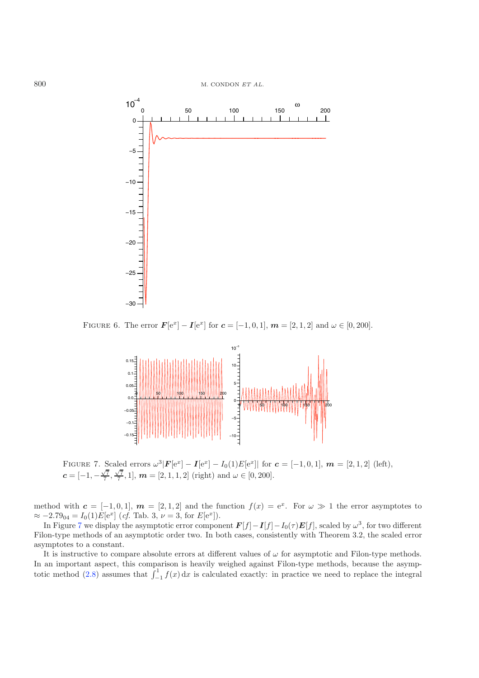ω

 $10^{-4}$ 



<span id="page-15-1"></span><span id="page-15-0"></span>FIGURE 6. The error  $\mathbf{F}[e^x] - \mathbf{I}[e^x]$  for  $\mathbf{c} = [-1, 0, 1], \mathbf{m} = [2, 1, 2]$  and  $\omega \in [0, 200]$ .



FIGURE 7. Scaled errors  $\omega^3 |F[e^x] - I[e^x] - I_0(1)E[e^x]$  for  $\boldsymbol{c} = [-1, 0, 1]$ ,  $\boldsymbol{m} = [2, 1, 2]$  (left),  $c = [-1, -\frac{\sqrt{7}}{7}, \frac{\sqrt{7}}{7}, 1], \, \boldsymbol{m} = [2, 1, 1, 2] \,$  (right) and  $\omega \in [0, 200]$ .

method with  $c = [-1, 0, 1], m = [2, 1, 2]$  and the function  $f(x) = e^x$ . For  $\omega \gg 1$  the error asymptotes to  $\approx -2.79_{04} = I_0(1)E[e^x]$  (*cf.* Tab. 3,  $\nu = 3$ , for  $E[e^x]$ ).

In Figure [7](#page-15-1) we display the asymptotic error component  $F[f]-I[f]-I_0(\tau)E[f]$ , scaled by  $\omega^3$ , for two different Filon-type methods of an asymptotic order two. In both cases, consistently with Theorem 3.2, the scaled error asymptotes to a constant.

It is instructive to compare absolute errors at different values of  $\omega$  for asymptotic and Filon-type methods. In an important aspect, this comparison is heavily weighed against Filon-type methods, because the asymp-totic method [\(2.8\)](#page-9-1) assumes that  $\int_{-1}^{1} f(x) dx$  is calculated exactly: in practice we need to replace the integral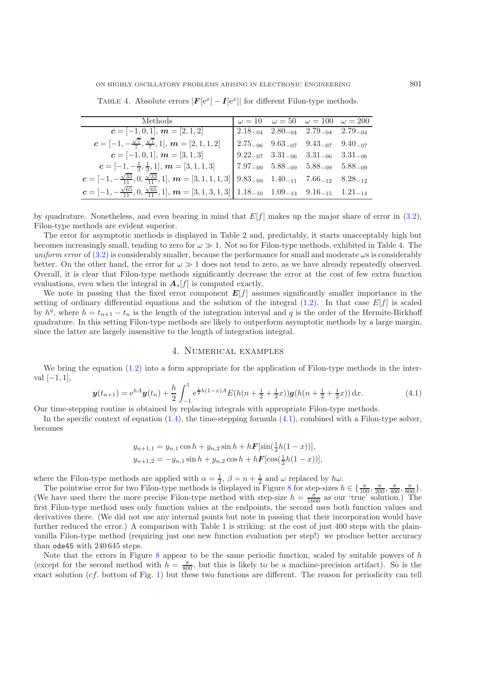ON HIGHLY OSCILLATORY PROBLEMS ARISING IN ELECTRONIC ENGINEERING 801

| Methods                                                                                                                                                                                         |  | $\omega = 10$ $\omega = 50$ $\omega = 100$ $\omega = 200$                         |  |
|-------------------------------------------------------------------------------------------------------------------------------------------------------------------------------------------------|--|-----------------------------------------------------------------------------------|--|
| $c = [-1, 0, 1], m = [2, 1, 2]$                                                                                                                                                                 |  | $\sqrt{2.18}_{-04}$ $2.80_{-04}$ $2.79_{-04}$ $2.79_{-04}$                        |  |
| $c = [-1, -\frac{\sqrt{7}}{7}, \frac{\sqrt{7}}{7}, 1], m = [2, 1, 1, 2]$                                                                                                                        |  | $\begin{bmatrix} 2.75_{-06} & 9.63_{-07} & 9.43_{-07} & 9.40_{-07} \end{bmatrix}$ |  |
| $c = [-1, 0, 1], m = [3, 1, 3]$                                                                                                                                                                 |  | $9.22_{-07}$ $3.31_{-06}$ $3.31_{-06}$ $3.31_{-06}$                               |  |
| $c = [-1, -\frac{1}{3}, \frac{1}{3}, 1], m = [3, 1, 1, 3]$                                                                                                                                      |  | $7.97_{-09}$ $5.88_{-09}$ $5.88_{-09}$ $5.88_{-09}$                               |  |
| $\boldsymbol{c} = [-1, -\frac{\sqrt{33}}{11}, 0, \frac{\sqrt{33}}{11}, 1], \, \boldsymbol{m} = [3, 1, 1, 1, 3] \begin{bmatrix} 9.83_{-09} & 1.40_{-11} & 7.66_{-12} & 8.28_{-12} \end{bmatrix}$ |  |                                                                                   |  |
| $c = [-1, -\frac{\sqrt{65}}{11}, 0, \frac{\sqrt{65}}{11}, 1], m = [3, 1, 3, 1, 3]   1.18_{-10} 1.09_{-13} 9.16_{-15} 1.21_{-14}$                                                                |  |                                                                                   |  |
|                                                                                                                                                                                                 |  |                                                                                   |  |

TABLE 4. Absolute errors  $|F[e^x] - I[e^x]|$  for different Filon-type methods.

by quadrature. Nonetheless, and even bearing in mind that  $E[f]$  makes up the major share of error in [\(3.2\)](#page-10-2), Filon-type methods are evident superior.

The error for asymptotic methods is displayed in Table 2 and, predictably, it starts unacceptably high but becomes increasingly small, tending to zero for  $\omega \gg 1$ . Not so for Filon-type methods, exhibited in Table 4. The *uniform error* of  $(3.2)$  is considerably smaller, because the performance for small and moderate  $\omega$ s is considerably better. On the other hand, the error for  $\omega \gg 1$  does not tend to zero, as we have already repeatedly observed. Overall, it is clear that Filon-type methods significantly decrease the error at the cost of few extra function evaluations, even when the integral in  $A_s[f]$  is computed exactly.

<span id="page-16-0"></span>We note in passing that the fixed error component  $E[f]$  assumes significantly smaller importance in the setting of ordinary differential equations and the solution of the integral  $(1.2)$ . In that case  $E[f]$  is scaled by  $h<sup>q</sup>$ , where  $h = t_{n+1} - t_n$  is the length of the integration interval and q is the order of the Hermite-Birkhoff quadrature. In this setting Filon-type methods are likely to outperform asymptotic methods by a large margin, since the latter are largely insensitive to the length of integration integral.

# 4. Numerical examples

We bring the equation [\(1.2\)](#page-1-0) into a form appropriate for the application of Filon-type methods in the interval  $[-1, 1]$ ,

$$
\mathbf{y}(t_{n+1}) = e^{hA}\mathbf{y}(t_n) + \frac{h}{2} \int_{-1}^{1} e^{\frac{1}{2}h(1-x)A} E(h(n+\frac{1}{2}+\frac{1}{2}x))\mathbf{g}(h(n+\frac{1}{2}+\frac{1}{2}x)) \, \mathrm{d}x. \tag{4.1}
$$

Our time-stepping routine is obtained by replacing integrals with appropriate Filon-type methods.

In the specific context of equation [\(1.4\)](#page-2-0), the time-stepping formula [\(4.1\)](#page-16-0), combined with a Filon-type solver, becomes

$$
y_{n+1,1} = y_{n,1} \cos h + y_{n,2} \sin h + h \mathbf{F}[\sin(\frac{1}{2}h(1-x))],
$$
  

$$
y_{n+1,2} = -y_{n,1} \sin h + y_{n,2} \cos h + h \mathbf{F}[\cos(\frac{1}{2}h(1-x))],
$$

where the Filon-type methods are applied with  $\alpha = \frac{1}{2}$ ,  $\beta = n + \frac{1}{2}$  and  $\omega$  replaced by  $h\omega$ .

The pointwise error for two Filon-type methods is displayed in Figure [8](#page-17-0) for step-sizes  $h \in \{\frac{\pi}{100}, \frac{\pi}{200}, \frac{\pi}{400}, \frac{\pi}{800}\}.$ (We have used there the more precise Filon-type method with step-size  $h = \frac{\pi}{1600}$  as our 'true' solution.) The first Filon-type method uses only function values at the endpoints, the second uses both function values and derivatives there. (We did not use any internal points but note in passing that their incorporation would have further reduced the error.) A comparison with Table 1 is striking: at the cost of just 400 steps with the plainvanilla Filon-type method (requiring just one new function evaluation per step!) we produce better accuracy than ode45 with 240 645 steps.

Note that the errors in Figure [8](#page-17-0) appear to be the same periodic function, scaled by suitable powers of  $h$ (except for the second method with  $h = \frac{\pi}{800}$ , but this is likely to be a machine-precision artifact). So is the exact solution (cf. bottom of Fig. [1\)](#page-2-1) but these two functions are different. The reason for periodicity can tell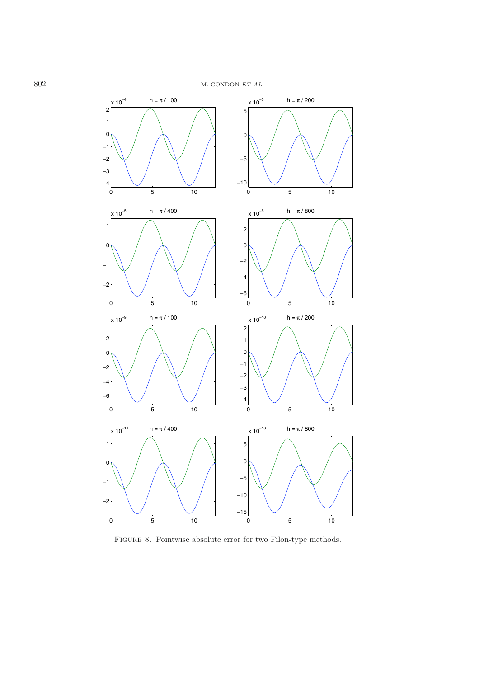

<span id="page-17-0"></span>FIGURE 8. Pointwise absolute error for two Filon-type methods.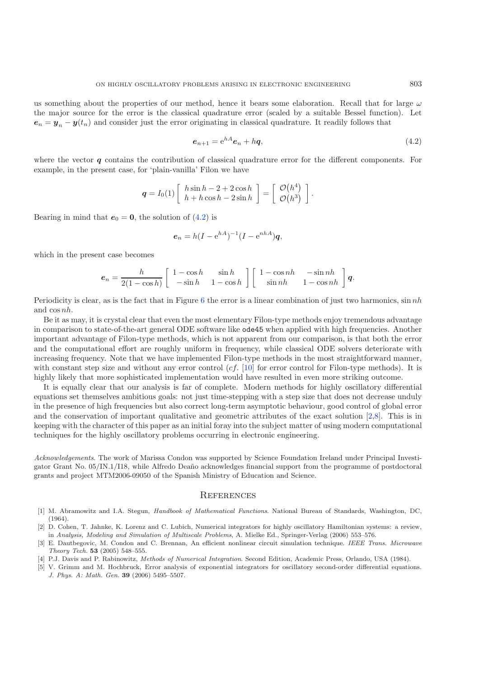<span id="page-18-4"></span>us something about the properties of our method, hence it bears some elaboration. Recall that for large  $\omega$ the major source for the error is the classical quadrature error (scaled by a suitable Bessel function). Let  $e_n = y_n - y(t_n)$  and consider just the error originating in classical quadrature. It readily follows that

$$
e_{n+1} = e^{hA}e_n + hq,
$$
\n
$$
(4.2)
$$

where the vector *q* contains the contribution of classical quadrature error for the different components. For example, in the present case, for 'plain-vanilla' Filon we have

$$
\boldsymbol{q} = I_0(1) \left[ \begin{array}{c} h \sin h - 2 + 2 \cos h \\ h + h \cos h - 2 \sin h \end{array} \right] = \left[ \begin{array}{c} \mathcal{O}(h^4) \\ \mathcal{O}(h^3) \end{array} \right].
$$

Bearing in mind that  $e_0 = 0$ , the solution of [\(4.2\)](#page-18-4) is

$$
\boldsymbol{e}_n = h(I - e^{hA})^{-1}(I - e^{nhA})\boldsymbol{q},
$$

which in the present case becomes

$$
e_n = \frac{h}{2(1 - \cos h)} \left[ \begin{array}{cc} 1 - \cos h & \sin h \\ -\sin h & 1 - \cos h \end{array} \right] \left[ \begin{array}{cc} 1 - \cos nh & -\sin nh \\ \sin nh & 1 - \cos nh \end{array} \right] q.
$$

Periodicity is clear, as is the fact that in Figure [6](#page-15-0) the error is a linear combination of just two harmonics,  $\sin nh$ and cos nh.

Be it as may, it is crystal clear that even the most elementary Filon-type methods enjoy tremendous advantage in comparison to state-of-the-art general ODE software like ode45 when applied with high frequencies. Another important advantage of Filon-type methods, which is not apparent from our comparison, is that both the error and the computational effort are roughly uniform in frequency, while classical ODE solvers deteriorate with increasing frequency. Note that we have implemented Filon-type methods in the most straightforward manner, with constant step size and without any error control  $(cf. [10]$  $(cf. [10]$  $(cf. [10]$  for error control for Filon-type methods). It is highly likely that more sophisticated implementation would have resulted in even more striking outcome.

It is equally clear that our analysis is far of complete. Modern methods for highly oscillatory differential equations set themselves ambitious goals: not just time-stepping with a step size that does not decrease unduly in the presence of high frequencies but also correct long-term asymptotic behaviour, good control of global error and the conservation of important qualitative and geometric attributes of the exact solution [\[2](#page-18-5)[,8](#page-19-14)]. This is in keeping with the character of this paper as an initial foray into the subject matter of using modern computational techniques for the highly oscillatory problems occurring in electronic engineering.

*Acknowledgements*. The work of Marissa Condon was supported by Science Foundation Ireland under Principal Investigator Grant No. 05/IN.1/I18, while Alfredo Deaño acknowledges financial support from the programme of postdoctoral grants and project MTM2006-09050 of the Spanish Ministry of Education and Science.

#### **REFERENCES**

- <span id="page-18-3"></span>[1] M. Abramowitz and I.A. Stegun, *Handbook of Mathematical Functions*. National Bureau of Standards, Washington, DC, (1964).
- <span id="page-18-5"></span>[2] D. Cohen, T. Jahnke, K. Lorenz and C. Lubich, Numerical integrators for highly oscillatory Hamiltonian systems: a review, in *Analysis, Modeling and Simulation of Multiscale Problems*, A. Mielke Ed., Springer-Verlag (2006) 553–576.
- <span id="page-18-0"></span>[3] E. Dautbegovic, M. Condon and C. Brennan, An efficient nonlinear circuit simulation technique. *IEEE Trans. Microwave Theory Tech.* **53** (2005) 548–555.
- [4] P.J. Davis and P. Rabinowitz, *Methods of Numerical Integration*. Second Edition, Academic Press, Orlando, USA (1984).
- <span id="page-18-2"></span><span id="page-18-1"></span>[5] V. Grimm and M. Hochbruck, Error analysis of exponential integrators for oscillatory second-order differential equations. *J. Phys. A: Math. Gen.* **39** (2006) 5495–5507.